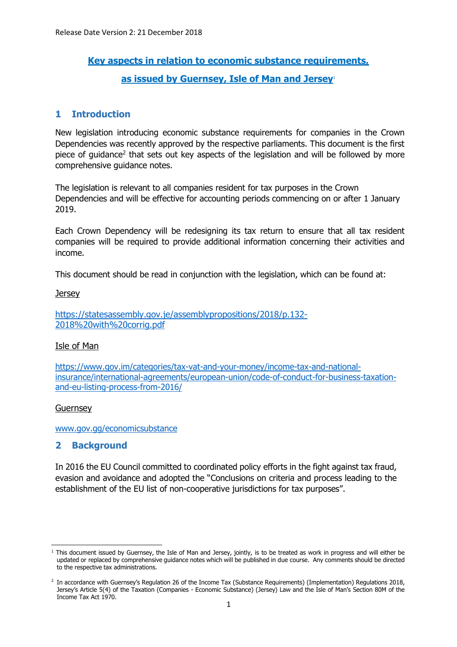# **Key aspects in relation to economic substance requirements, as issued by Guernsey, Isle of Man and Jersey**<sup>1</sup>

# **1 Introduction**

New legislation introducing economic substance requirements for companies in the Crown Dependencies was recently approved by the respective parliaments. This document is the first piece of guidance<sup>2</sup> that sets out key aspects of the legislation and will be followed by more comprehensive guidance notes.

The legislation is relevant to all companies resident for tax purposes in the Crown Dependencies and will be effective for accounting periods commencing on or after 1 January 2019.

Each Crown Dependency will be redesigning its tax return to ensure that all tax resident companies will be required to provide additional information concerning their activities and income.

This document should be read in conjunction with the legislation, which can be found at:

**Jersey** 

https://statesassembly.gov.je/assemblypropositions/2018/p.132- 2018%20with%20corrig.pdf

#### Isle of Man

https://www.gov.im/categories/tax-vat-and-your-money/income-tax-and-nationalinsurance/international-agreements/european-union/code-of-conduct-for-business-taxationand-eu-listing-process-from-2016/

#### Guernsey

www.gov.gg/economicsubstance

## **2 Background**

In 2016 the EU Council committed to coordinated policy efforts in the fight against tax fraud, evasion and avoidance and adopted the "Conclusions on criteria and process leading to the establishment of the EU list of non-cooperative jurisdictions for tax purposes".

<sup>-</sup><sup>1</sup> This document issued by Guernsey, the Isle of Man and Jersey, jointly, is to be treated as work in progress and will either be updated or replaced by comprehensive guidance notes which will be published in due course. Any comments should be directed to the respective tax administrations.

<sup>2</sup> In accordance with Guernsey's Regulation 26 of the Income Tax (Substance Requirements) (Implementation) Regulations 2018, Jersey's Article 5(4) of the Taxation (Companies - Economic Substance) (Jersey) Law and the Isle of Man's Section 80M of the Income Tax Act 1970.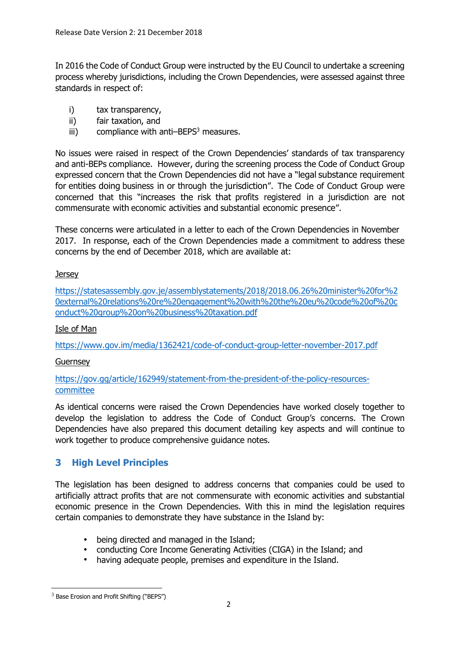In 2016 the Code of Conduct Group were instructed by the EU Council to undertake a screening process whereby jurisdictions, including the Crown Dependencies, were assessed against three standards in respect of:

- i) tax transparency,
- ii) fair taxation, and
- iii) compliance with anti–BEPS $3$  measures.

No issues were raised in respect of the Crown Dependencies' standards of tax transparency and anti-BEPs compliance. However, during the screening process the Code of Conduct Group expressed concern that the Crown Dependencies did not have a "legal substance requirement for entities doing business in or through the jurisdiction". The Code of Conduct Group were concerned that this "increases the risk that profits registered in a jurisdiction are not commensurate with economic activities and substantial economic presence".

These concerns were articulated in a letter to each of the Crown Dependencies in November 2017. In response, each of the Crown Dependencies made a commitment to address these concerns by the end of December 2018, which are available at:

## **Jersey**

https://statesassembly.gov.je/assemblystatements/2018/2018.06.26%20minister%20for%2 0external%20relations%20re%20engagement%20with%20the%20eu%20code%20of%20c onduct%20group%20on%20business%20taxation.pdf

## Isle of Man

https://www.gov.im/media/1362421/code-of-conduct-group-letter-november-2017.pdf

## Guernsey

https://gov.gg/article/162949/statement-from-the-president-of-the-policy-resourcescommittee

As identical concerns were raised the Crown Dependencies have worked closely together to develop the legislation to address the Code of Conduct Group's concerns. The Crown Dependencies have also prepared this document detailing key aspects and will continue to work together to produce comprehensive guidance notes.

# **3 High Level Principles**

The legislation has been designed to address concerns that companies could be used to artificially attract profits that are not commensurate with economic activities and substantial economic presence in the Crown Dependencies. With this in mind the legislation requires certain companies to demonstrate they have substance in the Island by:

- being directed and managed in the Island;
- conducting Core Income Generating Activities (CIGA) in the Island; and
- having adequate people, premises and expenditure in the Island.

-

 $3$  Base Erosion and Profit Shifting ("BEPS")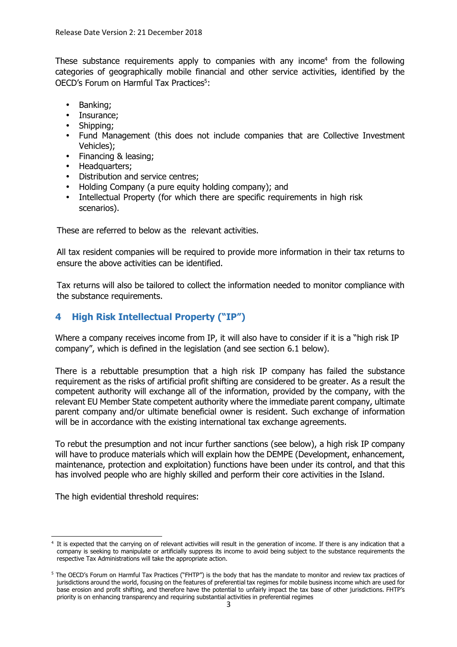These substance requirements apply to companies with any income<sup>4</sup> from the following categories of geographically mobile financial and other service activities, identified by the OECD's Forum on Harmful Tax Practices<sup>5</sup>:

- Banking;
- Insurance;
- Shipping;
- Fund Management (this does not include companies that are Collective Investment Vehicles);
- Financing & leasing;
- Headquarters;
- Distribution and service centres;
- Holding Company (a pure equity holding company); and
- Intellectual Property (for which there are specific requirements in high risk scenarios).

These are referred to below as the relevant activities.

All tax resident companies will be required to provide more information in their tax returns to ensure the above activities can be identified.

Tax returns will also be tailored to collect the information needed to monitor compliance with the substance requirements.

# **4 High Risk Intellectual Property ("IP")**

Where a company receives income from IP, it will also have to consider if it is a "high risk IP company", which is defined in the legislation (and see section 6.1 below).

There is a rebuttable presumption that a high risk IP company has failed the substance requirement as the risks of artificial profit shifting are considered to be greater. As a result the competent authority will exchange all of the information, provided by the company, with the relevant EU Member State competent authority where the immediate parent company, ultimate parent company and/or ultimate beneficial owner is resident. Such exchange of information will be in accordance with the existing international tax exchange agreements.

To rebut the presumption and not incur further sanctions (see below), a high risk IP company will have to produce materials which will explain how the DEMPE (Development, enhancement, maintenance, protection and exploitation) functions have been under its control, and that this has involved people who are highly skilled and perform their core activities in the Island.

The high evidential threshold requires:

<sup>-</sup>4 It is expected that the carrying on of relevant activities will result in the generation of income. If there is any indication that a company is seeking to manipulate or artificially suppress its income to avoid being subject to the substance requirements the respective Tax Administrations will take the appropriate action.

<sup>&</sup>lt;sup>5</sup> The OECD's Forum on Harmful Tax Practices ("FHTP") is the body that has the mandate to monitor and review tax practices of jurisdictions around the world, focusing on the features of preferential tax regimes for mobile business income which are used for base erosion and profit shifting, and therefore have the potential to unfairly impact the tax base of other jurisdictions. FHTP's priority is on enhancing transparency and requiring substantial activities in preferential regimes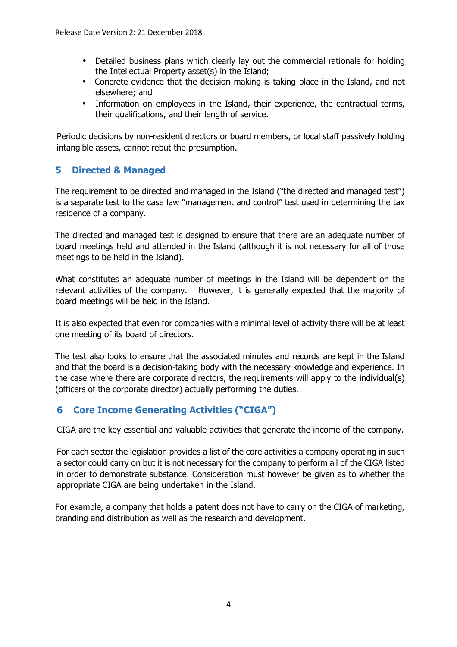- Detailed business plans which clearly lay out the commercial rationale for holding the Intellectual Property asset(s) in the Island;
- Concrete evidence that the decision making is taking place in the Island, and not elsewhere; and
- Information on employees in the Island, their experience, the contractual terms, their qualifications, and their length of service.

Periodic decisions by non-resident directors or board members, or local staff passively holding intangible assets, cannot rebut the presumption.

# **5 Directed & Managed**

The requirement to be directed and managed in the Island ("the directed and managed test") is a separate test to the case law "management and control" test used in determining the tax residence of a company.

The directed and managed test is designed to ensure that there are an adequate number of board meetings held and attended in the Island (although it is not necessary for all of those meetings to be held in the Island).

What constitutes an adequate number of meetings in the Island will be dependent on the relevant activities of the company. However, it is generally expected that the majority of board meetings will be held in the Island.

It is also expected that even for companies with a minimal level of activity there will be at least one meeting of its board of directors.

The test also looks to ensure that the associated minutes and records are kept in the Island and that the board is a decision-taking body with the necessary knowledge and experience. In the case where there are corporate directors, the requirements will apply to the individual(s) (officers of the corporate director) actually performing the duties.

# **6 Core Income Generating Activities ("CIGA")**

CIGA are the key essential and valuable activities that generate the income of the company.

For each sector the legislation provides a list of the core activities a company operating in such a sector could carry on but it is not necessary for the company to perform all of the CIGA listed in order to demonstrate substance. Consideration must however be given as to whether the appropriate CIGA are being undertaken in the Island.

For example, a company that holds a patent does not have to carry on the CIGA of marketing, branding and distribution as well as the research and development.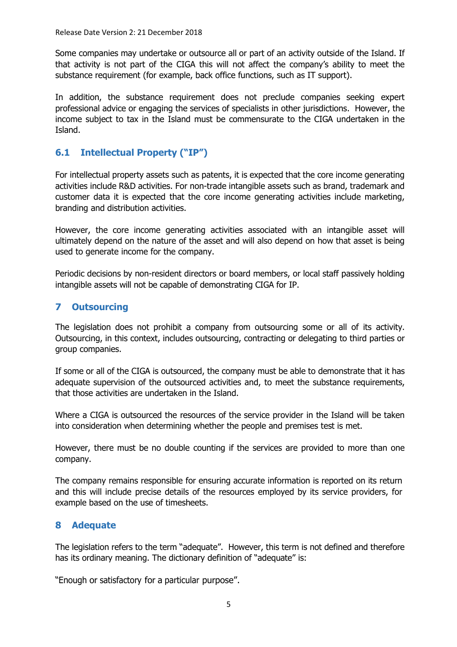Some companies may undertake or outsource all or part of an activity outside of the Island. If that activity is not part of the CIGA this will not affect the company's ability to meet the substance requirement (for example, back office functions, such as IT support).

In addition, the substance requirement does not preclude companies seeking expert professional advice or engaging the services of specialists in other jurisdictions. However, the income subject to tax in the Island must be commensurate to the CIGA undertaken in the Island.

# **6.1 Intellectual Property ("IP")**

For intellectual property assets such as patents, it is expected that the core income generating activities include R&D activities. For non-trade intangible assets such as brand, trademark and customer data it is expected that the core income generating activities include marketing, branding and distribution activities.

However, the core income generating activities associated with an intangible asset will ultimately depend on the nature of the asset and will also depend on how that asset is being used to generate income for the company.

Periodic decisions by non-resident directors or board members, or local staff passively holding intangible assets will not be capable of demonstrating CIGA for IP.

## **7 Outsourcing**

The legislation does not prohibit a company from outsourcing some or all of its activity. Outsourcing, in this context, includes outsourcing, contracting or delegating to third parties or group companies.

If some or all of the CIGA is outsourced, the company must be able to demonstrate that it has adequate supervision of the outsourced activities and, to meet the substance requirements, that those activities are undertaken in the Island.

Where a CIGA is outsourced the resources of the service provider in the Island will be taken into consideration when determining whether the people and premises test is met.

However, there must be no double counting if the services are provided to more than one company.

The company remains responsible for ensuring accurate information is reported on its return and this will include precise details of the resources employed by its service providers, for example based on the use of timesheets.

## **8 Adequate**

The legislation refers to the term "adequate". However, this term is not defined and therefore has its ordinary meaning. The dictionary definition of "adequate" is:

"Enough or satisfactory for a particular purpose".